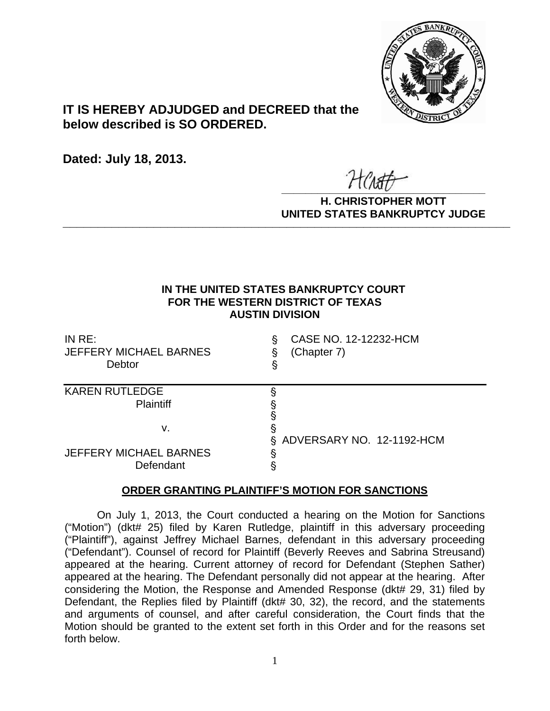

# **IT IS HEREBY ADJUDGED and DECREED that the below described is SO ORDERED.**

**Dated: July 18, 2013.**

 $\overline{r}$   $\overline{r}$   $\overline{r}$   $\overline{r}$   $\overline{r}$   $\overline{r}$   $\overline{r}$   $\overline{r}$   $\overline{r}$   $\overline{r}$   $\overline{r}$   $\overline{r}$   $\overline{r}$   $\overline{r}$   $\overline{r}$   $\overline{r}$   $\overline{r}$   $\overline{r}$   $\overline{r}$   $\overline{r}$   $\overline{r}$   $\overline{r}$   $\overline{r}$   $\overline{r}$   $\overline{$ 

**H. CHRISTOPHER MOTT UNITED STATES BANKRUPTCY JUDGE PATTED DRIVING TOT 00DCL** 

# **IN THE UNITED STATES BANKRUPTCY COURT FOR THE WESTERN DISTRICT OF TEXAS AUSTIN DIVISION**

| IN $RE:$<br>JEFFERY MICHAEL BARNES<br>Debtor | CASE NO. 12-12232-HCM<br>ş<br>(Chapter 7)<br>ş<br>§ |
|----------------------------------------------|-----------------------------------------------------|
| <b>KAREN RUTLEDGE</b><br><b>Plaintiff</b>    |                                                     |
| ν.                                           | ş<br>ADVERSARY NO. 12-1192-HCM<br>S.                |
| <b>JEFFERY MICHAEL BARNES</b><br>Defendant   | ş                                                   |

# **ORDER GRANTING PLAINTIFF'S MOTION FOR SANCTIONS**

 On July 1, 2013, the Court conducted a hearing on the Motion for Sanctions ("Motion") (dkt# 25) filed by Karen Rutledge, plaintiff in this adversary proceeding ("Plaintiff"), against Jeffrey Michael Barnes, defendant in this adversary proceeding ("Defendant"). Counsel of record for Plaintiff (Beverly Reeves and Sabrina Streusand) appeared at the hearing. Current attorney of record for Defendant (Stephen Sather) appeared at the hearing. The Defendant personally did not appear at the hearing. After considering the Motion, the Response and Amended Response (dkt# 29, 31) filed by Defendant, the Replies filed by Plaintiff (dkt# 30, 32), the record, and the statements and arguments of counsel, and after careful consideration, the Court finds that the Motion should be granted to the extent set forth in this Order and for the reasons set forth below.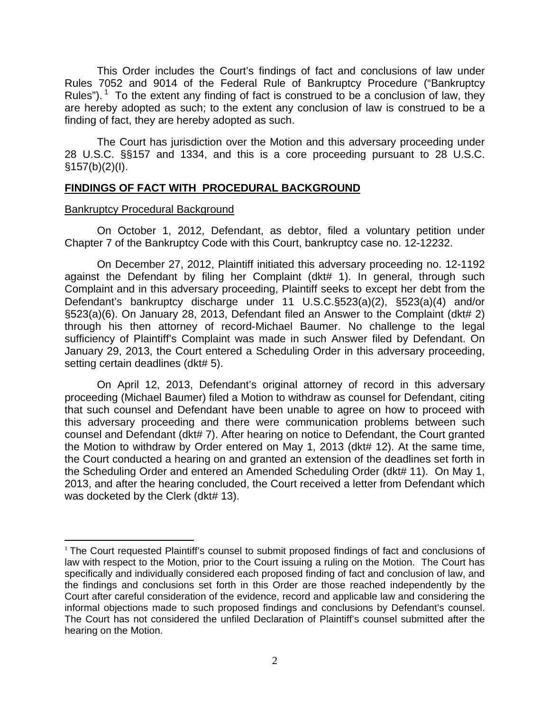This Order includes the Court's findings of fact and conclusions of law under Rules 7052 and 9014 of the Federal Rule of Bankruptcy Procedure ("Bankruptcy Rules"). <sup>1</sup> To the extent any finding of fact is construed to be a conclusion of law, they are hereby adopted as such; to the extent any conclusion of law is construed to be a finding of fact, they are hereby adopted as such.

The Court has jurisdiction over the Motion and this adversary proceeding under 28 U.S.C. §§157 and 1334, and this is a core proceeding pursuant to 28 U.S.C.  $§157(b)(2)(I).$ 

# **FINDINGS OF FACT WITH PROCEDURAL BACKGROUND**

### Bankruptcy Procedural Background

On October 1, 2012, Defendant, as debtor, filed a voluntary petition under Chapter 7 of the Bankruptcy Code with this Court, bankruptcy case no. 12-12232.

On December 27, 2012, Plaintiff initiated this adversary proceeding no. 12-1192 against the Defendant by filing her Complaint (dkt# 1). In general, through such Complaint and in this adversary proceeding, Plaintiff seeks to except her debt from the Defendant's bankruptcy discharge under 11 U.S.C.§523(a)(2), §523(a)(4) and/or §523(a)(6). On January 28, 2013, Defendant filed an Answer to the Complaint (dkt# 2) through his then attorney of record-Michael Baumer. No challenge to the legal sufficiency of Plaintiff's Complaint was made in such Answer filed by Defendant. On January 29, 2013, the Court entered a Scheduling Order in this adversary proceeding, setting certain deadlines (dkt# 5).

On April 12, 2013, Defendant's original attorney of record in this adversary proceeding (Michael Baumer) filed a Motion to withdraw as counsel for Defendant, citing that such counsel and Defendant have been unable to agree on how to proceed with this adversary proceeding and there were communication problems between such counsel and Defendant (dkt# 7). After hearing on notice to Defendant, the Court granted the Motion to withdraw by Order entered on May 1, 2013 (dkt# 12). At the same time, the Court conducted a hearing on and granted an extension of the deadlines set forth in the Scheduling Order and entered an Amended Scheduling Order (dkt# 11). On May 1, 2013, and after the hearing concluded, the Court received a letter from Defendant which was docketed by the Clerk (dkt# 13).

<sup>1</sup> The Court requested Plaintiff's counsel to submit proposed findings of fact and conclusions of law with respect to the Motion, prior to the Court issuing a ruling on the Motion. The Court has specifically and individually considered each proposed finding of fact and conclusion of law, and the findings and conclusions set forth in this Order are those reached independently by the Court after careful consideration of the evidence, record and applicable law and considering the informal objections made to such proposed findings and conclusions by Defendant's counsel. The Court has not considered the unfiled Declaration of Plaintiff's counsel submitted after the hearing on the Motion.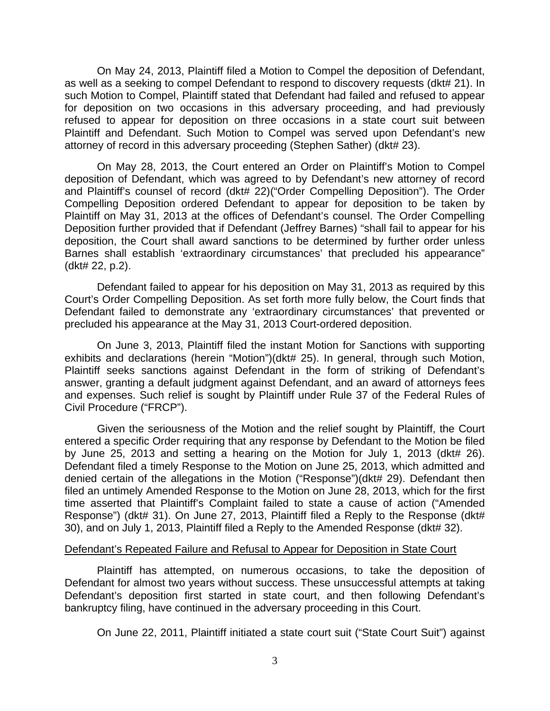On May 24, 2013, Plaintiff filed a Motion to Compel the deposition of Defendant, as well as a seeking to compel Defendant to respond to discovery requests (dkt# 21). In such Motion to Compel, Plaintiff stated that Defendant had failed and refused to appear for deposition on two occasions in this adversary proceeding, and had previously refused to appear for deposition on three occasions in a state court suit between Plaintiff and Defendant. Such Motion to Compel was served upon Defendant's new attorney of record in this adversary proceeding (Stephen Sather) (dkt# 23).

On May 28, 2013, the Court entered an Order on Plaintiff's Motion to Compel deposition of Defendant, which was agreed to by Defendant's new attorney of record and Plaintiff's counsel of record (dkt# 22)("Order Compelling Deposition"). The Order Compelling Deposition ordered Defendant to appear for deposition to be taken by Plaintiff on May 31, 2013 at the offices of Defendant's counsel. The Order Compelling Deposition further provided that if Defendant (Jeffrey Barnes) "shall fail to appear for his deposition, the Court shall award sanctions to be determined by further order unless Barnes shall establish 'extraordinary circumstances' that precluded his appearance" (dkt# 22, p.2).

Defendant failed to appear for his deposition on May 31, 2013 as required by this Court's Order Compelling Deposition. As set forth more fully below, the Court finds that Defendant failed to demonstrate any 'extraordinary circumstances' that prevented or precluded his appearance at the May 31, 2013 Court-ordered deposition.

On June 3, 2013, Plaintiff filed the instant Motion for Sanctions with supporting exhibits and declarations (herein "Motion")(dkt# 25). In general, through such Motion, Plaintiff seeks sanctions against Defendant in the form of striking of Defendant's answer, granting a default judgment against Defendant, and an award of attorneys fees and expenses. Such relief is sought by Plaintiff under Rule 37 of the Federal Rules of Civil Procedure ("FRCP").

Given the seriousness of the Motion and the relief sought by Plaintiff, the Court entered a specific Order requiring that any response by Defendant to the Motion be filed by June 25, 2013 and setting a hearing on the Motion for July 1, 2013 (dkt# 26). Defendant filed a timely Response to the Motion on June 25, 2013, which admitted and denied certain of the allegations in the Motion ("Response")(dkt# 29). Defendant then filed an untimely Amended Response to the Motion on June 28, 2013, which for the first time asserted that Plaintiff's Complaint failed to state a cause of action ("Amended Response") (dkt# 31). On June 27, 2013, Plaintiff filed a Reply to the Response (dkt# 30), and on July 1, 2013, Plaintiff filed a Reply to the Amended Response (dkt# 32).

#### Defendant's Repeated Failure and Refusal to Appear for Deposition in State Court

Plaintiff has attempted, on numerous occasions, to take the deposition of Defendant for almost two years without success. These unsuccessful attempts at taking Defendant's deposition first started in state court, and then following Defendant's bankruptcy filing, have continued in the adversary proceeding in this Court.

On June 22, 2011, Plaintiff initiated a state court suit ("State Court Suit") against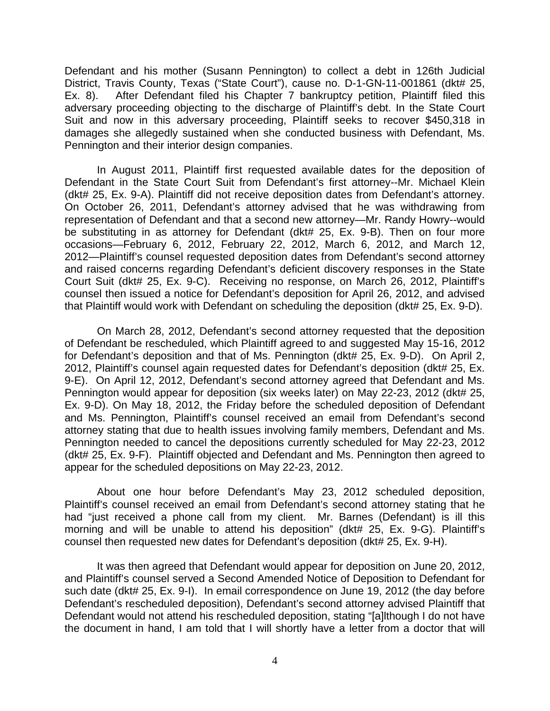Defendant and his mother (Susann Pennington) to collect a debt in 126th Judicial District, Travis County, Texas ("State Court"), cause no. D-1-GN-11-001861 (dkt# 25, Ex. 8). After Defendant filed his Chapter 7 bankruptcy petition, Plaintiff filed this adversary proceeding objecting to the discharge of Plaintiff's debt. In the State Court Suit and now in this adversary proceeding, Plaintiff seeks to recover \$450,318 in damages she allegedly sustained when she conducted business with Defendant, Ms. Pennington and their interior design companies.

In August 2011, Plaintiff first requested available dates for the deposition of Defendant in the State Court Suit from Defendant's first attorney--Mr. Michael Klein (dkt# 25, Ex. 9-A). Plaintiff did not receive deposition dates from Defendant's attorney. On October 26, 2011, Defendant's attorney advised that he was withdrawing from representation of Defendant and that a second new attorney—Mr. Randy Howry--would be substituting in as attorney for Defendant (dkt# 25, Ex. 9-B). Then on four more occasions—February 6, 2012, February 22, 2012, March 6, 2012, and March 12, 2012—Plaintiff's counsel requested deposition dates from Defendant's second attorney and raised concerns regarding Defendant's deficient discovery responses in the State Court Suit (dkt# 25, Ex. 9-C). Receiving no response, on March 26, 2012, Plaintiff's counsel then issued a notice for Defendant's deposition for April 26, 2012, and advised that Plaintiff would work with Defendant on scheduling the deposition (dkt# 25, Ex. 9-D).

On March 28, 2012, Defendant's second attorney requested that the deposition of Defendant be rescheduled, which Plaintiff agreed to and suggested May 15-16, 2012 for Defendant's deposition and that of Ms. Pennington (dkt# 25, Ex. 9-D). On April 2, 2012, Plaintiff's counsel again requested dates for Defendant's deposition (dkt# 25, Ex. 9-E). On April 12, 2012, Defendant's second attorney agreed that Defendant and Ms. Pennington would appear for deposition (six weeks later) on May 22-23, 2012 (dkt# 25, Ex. 9-D). On May 18, 2012, the Friday before the scheduled deposition of Defendant and Ms. Pennington, Plaintiff's counsel received an email from Defendant's second attorney stating that due to health issues involving family members, Defendant and Ms. Pennington needed to cancel the depositions currently scheduled for May 22-23, 2012 (dkt# 25, Ex. 9-F). Plaintiff objected and Defendant and Ms. Pennington then agreed to appear for the scheduled depositions on May 22-23, 2012.

About one hour before Defendant's May 23, 2012 scheduled deposition, Plaintiff's counsel received an email from Defendant's second attorney stating that he had "just received a phone call from my client. Mr. Barnes (Defendant) is ill this morning and will be unable to attend his deposition" (dkt# 25, Ex. 9-G). Plaintiff's counsel then requested new dates for Defendant's deposition (dkt# 25, Ex. 9-H).

It was then agreed that Defendant would appear for deposition on June 20, 2012, and Plaintiff's counsel served a Second Amended Notice of Deposition to Defendant for such date (dkt# 25, Ex. 9-I). In email correspondence on June 19, 2012 (the day before Defendant's rescheduled deposition), Defendant's second attorney advised Plaintiff that Defendant would not attend his rescheduled deposition, stating "[a]lthough I do not have the document in hand, I am told that I will shortly have a letter from a doctor that will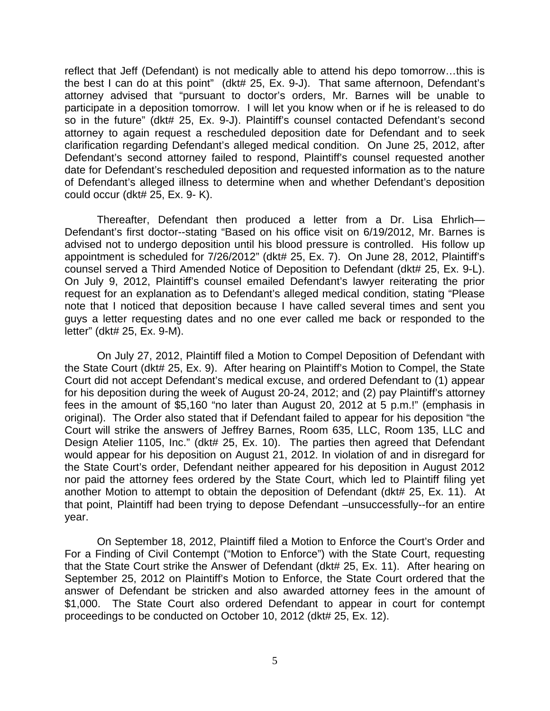reflect that Jeff (Defendant) is not medically able to attend his depo tomorrow…this is the best I can do at this point" (dkt# 25, Ex. 9-J). That same afternoon, Defendant's attorney advised that "pursuant to doctor's orders, Mr. Barnes will be unable to participate in a deposition tomorrow. I will let you know when or if he is released to do so in the future" (dkt# 25, Ex. 9-J). Plaintiff's counsel contacted Defendant's second attorney to again request a rescheduled deposition date for Defendant and to seek clarification regarding Defendant's alleged medical condition. On June 25, 2012, after Defendant's second attorney failed to respond, Plaintiff's counsel requested another date for Defendant's rescheduled deposition and requested information as to the nature of Defendant's alleged illness to determine when and whether Defendant's deposition could occur (dkt# 25, Ex. 9- K).

Thereafter, Defendant then produced a letter from a Dr. Lisa Ehrlich— Defendant's first doctor--stating "Based on his office visit on 6/19/2012, Mr. Barnes is advised not to undergo deposition until his blood pressure is controlled. His follow up appointment is scheduled for 7/26/2012" (dkt# 25, Ex. 7). On June 28, 2012, Plaintiff's counsel served a Third Amended Notice of Deposition to Defendant (dkt# 25, Ex. 9-L). On July 9, 2012, Plaintiff's counsel emailed Defendant's lawyer reiterating the prior request for an explanation as to Defendant's alleged medical condition, stating "Please note that I noticed that deposition because I have called several times and sent you guys a letter requesting dates and no one ever called me back or responded to the letter" (dkt# 25, Ex. 9-M).

On July 27, 2012, Plaintiff filed a Motion to Compel Deposition of Defendant with the State Court (dkt# 25, Ex. 9). After hearing on Plaintiff's Motion to Compel, the State Court did not accept Defendant's medical excuse, and ordered Defendant to (1) appear for his deposition during the week of August 20-24, 2012; and (2) pay Plaintiff's attorney fees in the amount of \$5,160 "no later than August 20, 2012 at 5 p.m.!" (emphasis in original). The Order also stated that if Defendant failed to appear for his deposition "the Court will strike the answers of Jeffrey Barnes, Room 635, LLC, Room 135, LLC and Design Atelier 1105, Inc." (dkt# 25, Ex. 10). The parties then agreed that Defendant would appear for his deposition on August 21, 2012. In violation of and in disregard for the State Court's order, Defendant neither appeared for his deposition in August 2012 nor paid the attorney fees ordered by the State Court, which led to Plaintiff filing yet another Motion to attempt to obtain the deposition of Defendant (dkt# 25, Ex. 11). At that point, Plaintiff had been trying to depose Defendant –unsuccessfully--for an entire year.

On September 18, 2012, Plaintiff filed a Motion to Enforce the Court's Order and For a Finding of Civil Contempt ("Motion to Enforce") with the State Court, requesting that the State Court strike the Answer of Defendant (dkt# 25, Ex. 11). After hearing on September 25, 2012 on Plaintiff's Motion to Enforce, the State Court ordered that the answer of Defendant be stricken and also awarded attorney fees in the amount of \$1,000. The State Court also ordered Defendant to appear in court for contempt proceedings to be conducted on October 10, 2012 (dkt# 25, Ex. 12).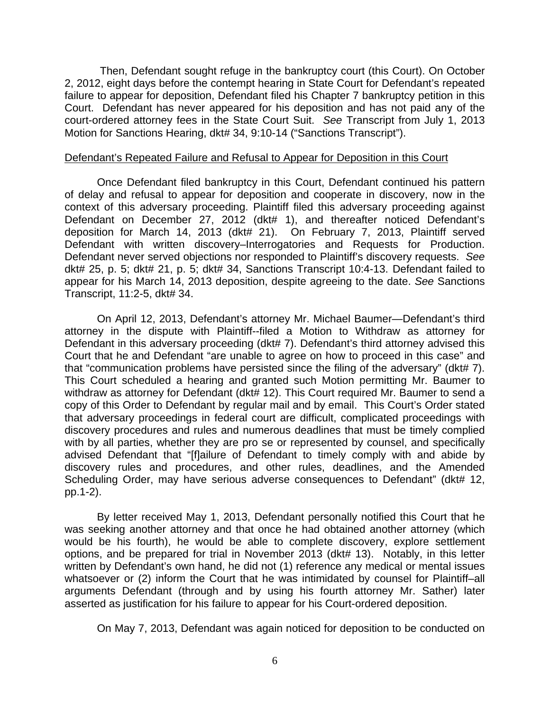Then, Defendant sought refuge in the bankruptcy court (this Court). On October 2, 2012, eight days before the contempt hearing in State Court for Defendant's repeated failure to appear for deposition, Defendant filed his Chapter 7 bankruptcy petition in this Court. Defendant has never appeared for his deposition and has not paid any of the court-ordered attorney fees in the State Court Suit. *See* Transcript from July 1, 2013 Motion for Sanctions Hearing, dkt# 34, 9:10-14 ("Sanctions Transcript").

#### Defendant's Repeated Failure and Refusal to Appear for Deposition in this Court

Once Defendant filed bankruptcy in this Court, Defendant continued his pattern of delay and refusal to appear for deposition and cooperate in discovery, now in the context of this adversary proceeding. Plaintiff filed this adversary proceeding against Defendant on December 27, 2012 (dkt# 1), and thereafter noticed Defendant's deposition for March 14, 2013 (dkt# 21). On February 7, 2013, Plaintiff served Defendant with written discovery–Interrogatories and Requests for Production. Defendant never served objections nor responded to Plaintiff's discovery requests. *See* dkt# 25, p. 5; dkt# 21, p. 5; dkt# 34, Sanctions Transcript 10:4-13. Defendant failed to appear for his March 14, 2013 deposition, despite agreeing to the date. *See* Sanctions Transcript, 11:2-5, dkt# 34.

On April 12, 2013, Defendant's attorney Mr. Michael Baumer—Defendant's third attorney in the dispute with Plaintiff--filed a Motion to Withdraw as attorney for Defendant in this adversary proceeding (dkt# 7). Defendant's third attorney advised this Court that he and Defendant "are unable to agree on how to proceed in this case" and that "communication problems have persisted since the filing of the adversary" (dkt# 7). This Court scheduled a hearing and granted such Motion permitting Mr. Baumer to withdraw as attorney for Defendant (dkt# 12). This Court required Mr. Baumer to send a copy of this Order to Defendant by regular mail and by email. This Court's Order stated that adversary proceedings in federal court are difficult, complicated proceedings with discovery procedures and rules and numerous deadlines that must be timely complied with by all parties, whether they are pro se or represented by counsel, and specifically advised Defendant that "[f]ailure of Defendant to timely comply with and abide by discovery rules and procedures, and other rules, deadlines, and the Amended Scheduling Order, may have serious adverse consequences to Defendant" (dkt# 12, pp.1-2).

By letter received May 1, 2013, Defendant personally notified this Court that he was seeking another attorney and that once he had obtained another attorney (which would be his fourth), he would be able to complete discovery, explore settlement options, and be prepared for trial in November 2013 (dkt# 13). Notably, in this letter written by Defendant's own hand, he did not (1) reference any medical or mental issues whatsoever or (2) inform the Court that he was intimidated by counsel for Plaintiff-all arguments Defendant (through and by using his fourth attorney Mr. Sather) later asserted as justification for his failure to appear for his Court-ordered deposition.

On May 7, 2013, Defendant was again noticed for deposition to be conducted on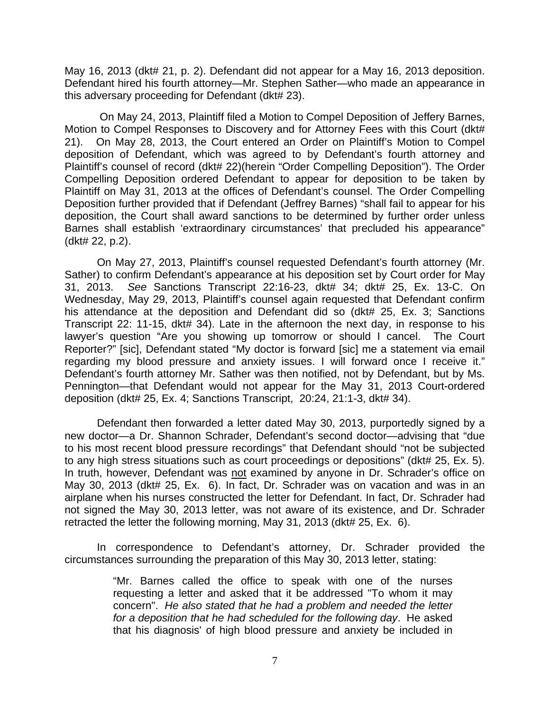May 16, 2013 (dkt# 21, p. 2). Defendant did not appear for a May 16, 2013 deposition. Defendant hired his fourth attorney—Mr. Stephen Sather—who made an appearance in this adversary proceeding for Defendant (dkt# 23).

On May 24, 2013, Plaintiff filed a Motion to Compel Deposition of Jeffery Barnes, Motion to Compel Responses to Discovery and for Attorney Fees with this Court (dkt# 21). On May 28, 2013, the Court entered an Order on Plaintiff's Motion to Compel deposition of Defendant, which was agreed to by Defendant's fourth attorney and Plaintiff's counsel of record (dkt# 22)(herein "Order Compelling Deposition"). The Order Compelling Deposition ordered Defendant to appear for deposition to be taken by Plaintiff on May 31, 2013 at the offices of Defendant's counsel. The Order Compelling Deposition further provided that if Defendant (Jeffrey Barnes) "shall fail to appear for his deposition, the Court shall award sanctions to be determined by further order unless Barnes shall establish 'extraordinary circumstances' that precluded his appearance" (dkt# 22, p.2).

On May 27, 2013, Plaintiff's counsel requested Defendant's fourth attorney (Mr. Sather) to confirm Defendant's appearance at his deposition set by Court order for May 31, 2013. *See* Sanctions Transcript 22:16-23, dkt# 34; dkt# 25, Ex. 13-C. On Wednesday, May 29, 2013, Plaintiff's counsel again requested that Defendant confirm his attendance at the deposition and Defendant did so (dkt# 25, Ex. 3; Sanctions Transcript 22: 11-15, dkt# 34). Late in the afternoon the next day, in response to his lawyer's question "Are you showing up tomorrow or should I cancel. The Court Reporter?" [sic], Defendant stated "My doctor is forward [sic] me a statement via email regarding my blood pressure and anxiety issues. I will forward once I receive it." Defendant's fourth attorney Mr. Sather was then notified, not by Defendant, but by Ms. Pennington—that Defendant would not appear for the May 31, 2013 Court-ordered deposition (dkt# 25, Ex. 4; Sanctions Transcript, 20:24, 21:1-3, dkt# 34).

Defendant then forwarded a letter dated May 30, 2013, purportedly signed by a new doctor—a Dr. Shannon Schrader, Defendant's second doctor—advising that "due to his most recent blood pressure recordings" that Defendant should "not be subjected to any high stress situations such as court proceedings or depositions" (dkt# 25, Ex. 5). In truth, however, Defendant was not examined by anyone in Dr. Schrader's office on May 30, 2013 (dkt# 25, Ex. 6). In fact, Dr. Schrader was on vacation and was in an airplane when his nurses constructed the letter for Defendant. In fact, Dr. Schrader had not signed the May 30, 2013 letter, was not aware of its existence, and Dr. Schrader retracted the letter the following morning, May 31, 2013 (dkt# 25, Ex. 6).

In correspondence to Defendant's attorney, Dr. Schrader provided the circumstances surrounding the preparation of this May 30, 2013 letter, stating:

> "Mr. Barnes called the office to speak with one of the nurses requesting a letter and asked that it be addressed "To whom it may concern". *He also stated that he had a problem and needed the letter for a deposition that he had scheduled for the following day*. He asked that his diagnosis' of high blood pressure and anxiety be included in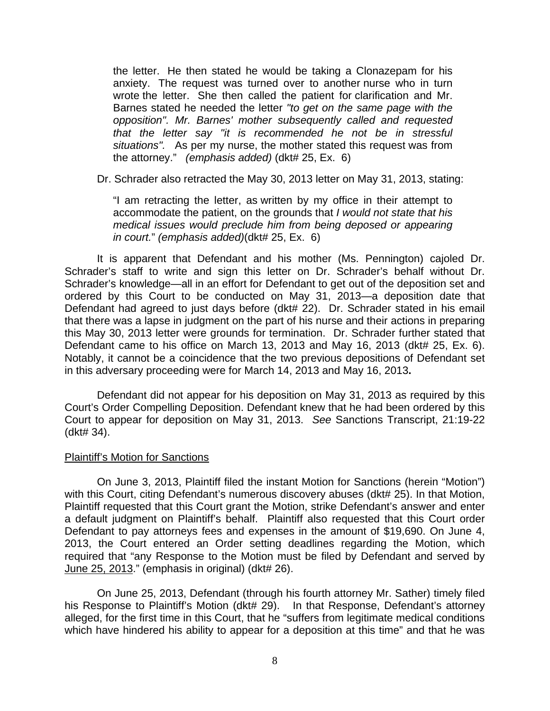the letter. He then stated he would be taking a Clonazepam for his anxiety. The request was turned over to another nurse who in turn wrote the letter. She then called the patient for clarification and Mr. Barnes stated he needed the letter *"to get on the same page with the opposition". Mr. Barnes' mother subsequently called and requested that the letter say "it is recommended he not be in stressful situations".* As per my nurse, the mother stated this request was from the attorney." *(emphasis added)* (dkt# 25, Ex. 6)

Dr. Schrader also retracted the May 30, 2013 letter on May 31, 2013, stating:

"I am retracting the letter, as written by my office in their attempt to accommodate the patient, on the grounds that *I would not state that his medical issues would preclude him from being deposed or appearing in court.*" *(emphasis added)*(dkt# 25, Ex. 6)

It is apparent that Defendant and his mother (Ms. Pennington) cajoled Dr. Schrader's staff to write and sign this letter on Dr. Schrader's behalf without Dr. Schrader's knowledge—all in an effort for Defendant to get out of the deposition set and ordered by this Court to be conducted on May 31, 2013—a deposition date that Defendant had agreed to just days before (dkt# 22). Dr. Schrader stated in his email that there was a lapse in judgment on the part of his nurse and their actions in preparing this May 30, 2013 letter were grounds for termination. Dr. Schrader further stated that Defendant came to his office on March 13, 2013 and May 16, 2013 (dkt# 25, Ex. 6). Notably, it cannot be a coincidence that the two previous depositions of Defendant set in this adversary proceeding were for March 14, 2013 and May 16, 2013**.** 

Defendant did not appear for his deposition on May 31, 2013 as required by this Court's Order Compelling Deposition. Defendant knew that he had been ordered by this Court to appear for deposition on May 31, 2013. *See* Sanctions Transcript, 21:19-22 (dkt# 34).

#### Plaintiff's Motion for Sanctions

On June 3, 2013, Plaintiff filed the instant Motion for Sanctions (herein "Motion") with this Court, citing Defendant's numerous discovery abuses (dkt# 25). In that Motion, Plaintiff requested that this Court grant the Motion, strike Defendant's answer and enter a default judgment on Plaintiff's behalf. Plaintiff also requested that this Court order Defendant to pay attorneys fees and expenses in the amount of \$19,690. On June 4, 2013, the Court entered an Order setting deadlines regarding the Motion, which required that "any Response to the Motion must be filed by Defendant and served by June 25, 2013." (emphasis in original) (dkt# 26).

On June 25, 2013, Defendant (through his fourth attorney Mr. Sather) timely filed his Response to Plaintiff's Motion (dkt# 29). In that Response, Defendant's attorney alleged, for the first time in this Court, that he "suffers from legitimate medical conditions which have hindered his ability to appear for a deposition at this time" and that he was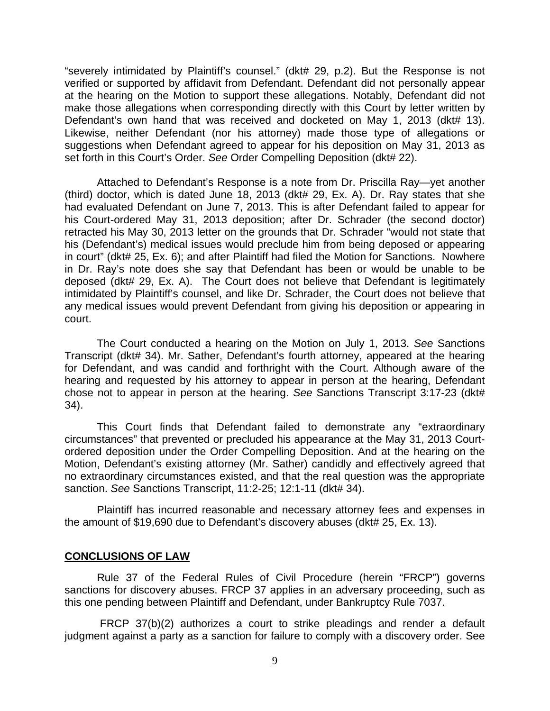"severely intimidated by Plaintiff's counsel." (dkt# 29, p.2). But the Response is not verified or supported by affidavit from Defendant. Defendant did not personally appear at the hearing on the Motion to support these allegations. Notably, Defendant did not make those allegations when corresponding directly with this Court by letter written by Defendant's own hand that was received and docketed on May 1, 2013 (dkt# 13). Likewise, neither Defendant (nor his attorney) made those type of allegations or suggestions when Defendant agreed to appear for his deposition on May 31, 2013 as set forth in this Court's Order. *See* Order Compelling Deposition (dkt# 22).

Attached to Defendant's Response is a note from Dr. Priscilla Ray—yet another (third) doctor, which is dated June 18, 2013 (dkt# 29, Ex. A). Dr. Ray states that she had evaluated Defendant on June 7, 2013. This is after Defendant failed to appear for his Court-ordered May 31, 2013 deposition; after Dr. Schrader (the second doctor) retracted his May 30, 2013 letter on the grounds that Dr. Schrader "would not state that his (Defendant's) medical issues would preclude him from being deposed or appearing in court" (dkt# 25, Ex. 6); and after Plaintiff had filed the Motion for Sanctions. Nowhere in Dr. Ray's note does she say that Defendant has been or would be unable to be deposed (dkt# 29, Ex. A). The Court does not believe that Defendant is legitimately intimidated by Plaintiff's counsel, and like Dr. Schrader, the Court does not believe that any medical issues would prevent Defendant from giving his deposition or appearing in court.

The Court conducted a hearing on the Motion on July 1, 2013. *See* Sanctions Transcript (dkt# 34). Mr. Sather, Defendant's fourth attorney, appeared at the hearing for Defendant, and was candid and forthright with the Court. Although aware of the hearing and requested by his attorney to appear in person at the hearing, Defendant chose not to appear in person at the hearing. *See* Sanctions Transcript 3:17-23 (dkt# 34).

This Court finds that Defendant failed to demonstrate any "extraordinary circumstances" that prevented or precluded his appearance at the May 31, 2013 Courtordered deposition under the Order Compelling Deposition. And at the hearing on the Motion, Defendant's existing attorney (Mr. Sather) candidly and effectively agreed that no extraordinary circumstances existed, and that the real question was the appropriate sanction. *See* Sanctions Transcript, 11:2-25; 12:1-11 (dkt# 34).

Plaintiff has incurred reasonable and necessary attorney fees and expenses in the amount of \$19,690 due to Defendant's discovery abuses (dkt# 25, Ex. 13).

### **CONCLUSIONS OF LAW**

Rule 37 of the Federal Rules of Civil Procedure (herein "FRCP") governs sanctions for discovery abuses. FRCP 37 applies in an adversary proceeding, such as this one pending between Plaintiff and Defendant, under Bankruptcy Rule 7037.

 FRCP 37(b)(2) authorizes a court to strike pleadings and render a default judgment against a party as a sanction for failure to comply with a discovery order. See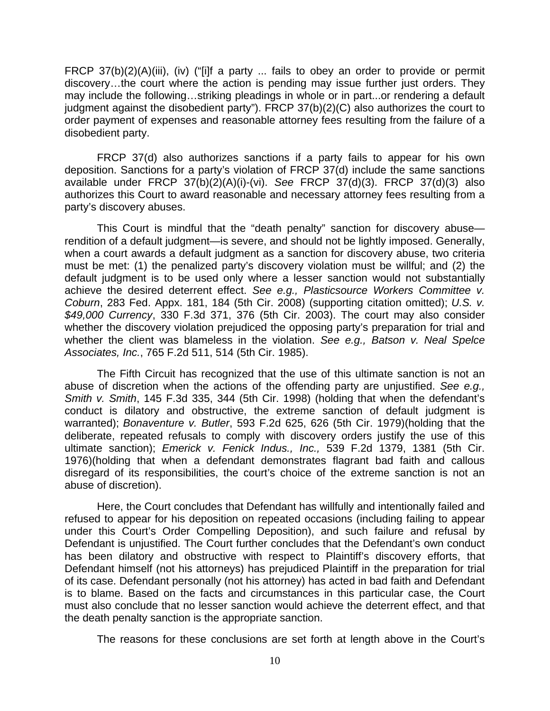FRCP 37(b)(2)(A)(iii), (iv) ("[i]f a party ... fails to obey an order to provide or permit discovery…the court where the action is pending may issue further just orders. They may include the following…striking pleadings in whole or in part...or rendering a default judgment against the disobedient party"). FRCP 37(b)(2)(C) also authorizes the court to order payment of expenses and reasonable attorney fees resulting from the failure of a disobedient party.

FRCP 37(d) also authorizes sanctions if a party fails to appear for his own deposition. Sanctions for a party's violation of FRCP 37(d) include the same sanctions available under FRCP 37(b)(2)(A)(i)-(vi). *See* FRCP 37(d)(3). FRCP 37(d)(3) also authorizes this Court to award reasonable and necessary attorney fees resulting from a party's discovery abuses.

This Court is mindful that the "death penalty" sanction for discovery abuse rendition of a default judgment—is severe, and should not be lightly imposed. Generally, when a court awards a default judgment as a sanction for discovery abuse, two criteria must be met: (1) the penalized party's discovery violation must be willful; and (2) the default judgment is to be used only where a lesser sanction would not substantially achieve the desired deterrent effect. *See e.g., Plasticsource Workers Committee v. Coburn*, 283 Fed. Appx. 181, 184 (5th Cir. 2008) (supporting citation omitted); *U.S. v. \$49,000 Currency*, 330 F.3d 371, 376 (5th Cir. 2003). The court may also consider whether the discovery violation prejudiced the opposing party's preparation for trial and whether the client was blameless in the violation. *See e.g., Batson v. Neal Spelce Associates, Inc.*, 765 F.2d 511, 514 (5th Cir. 1985).

The Fifth Circuit has recognized that the use of this ultimate sanction is not an abuse of discretion when the actions of the offending party are unjustified. *See e.g., Smith v. Smith*, 145 F.3d 335, 344 (5th Cir. 1998) (holding that when the defendant's conduct is dilatory and obstructive, the extreme sanction of default judgment is warranted); *Bonaventure v. Butler*, 593 F.2d 625, 626 (5th Cir. 1979)(holding that the deliberate, repeated refusals to comply with discovery orders justify the use of this ultimate sanction); *Emerick v. Fenick Indus., Inc.,* 539 F.2d 1379, 1381 (5th Cir. 1976)(holding that when a defendant demonstrates flagrant bad faith and callous disregard of its responsibilities, the court's choice of the extreme sanction is not an abuse of discretion).

Here, the Court concludes that Defendant has willfully and intentionally failed and refused to appear for his deposition on repeated occasions (including failing to appear under this Court's Order Compelling Deposition), and such failure and refusal by Defendant is unjustified. The Court further concludes that the Defendant's own conduct has been dilatory and obstructive with respect to Plaintiff's discovery efforts, that Defendant himself (not his attorneys) has prejudiced Plaintiff in the preparation for trial of its case. Defendant personally (not his attorney) has acted in bad faith and Defendant is to blame. Based on the facts and circumstances in this particular case, the Court must also conclude that no lesser sanction would achieve the deterrent effect, and that the death penalty sanction is the appropriate sanction.

The reasons for these conclusions are set forth at length above in the Court's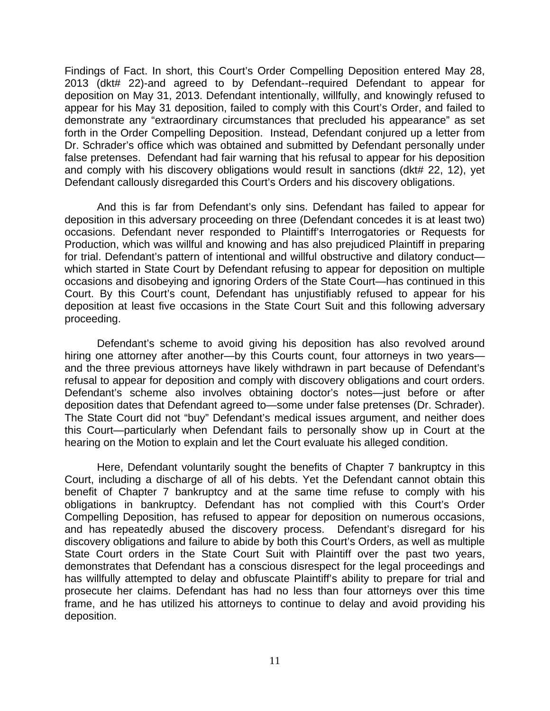Findings of Fact. In short, this Court's Order Compelling Deposition entered May 28, 2013 (dkt# 22)-and agreed to by Defendant--required Defendant to appear for deposition on May 31, 2013. Defendant intentionally, willfully, and knowingly refused to appear for his May 31 deposition, failed to comply with this Court's Order, and failed to demonstrate any "extraordinary circumstances that precluded his appearance" as set forth in the Order Compelling Deposition. Instead, Defendant conjured up a letter from Dr. Schrader's office which was obtained and submitted by Defendant personally under false pretenses. Defendant had fair warning that his refusal to appear for his deposition and comply with his discovery obligations would result in sanctions (dkt# 22, 12), yet Defendant callously disregarded this Court's Orders and his discovery obligations.

And this is far from Defendant's only sins. Defendant has failed to appear for deposition in this adversary proceeding on three (Defendant concedes it is at least two) occasions. Defendant never responded to Plaintiff's Interrogatories or Requests for Production, which was willful and knowing and has also prejudiced Plaintiff in preparing for trial. Defendant's pattern of intentional and willful obstructive and dilatory conduct which started in State Court by Defendant refusing to appear for deposition on multiple occasions and disobeying and ignoring Orders of the State Court—has continued in this Court. By this Court's count, Defendant has unjustifiably refused to appear for his deposition at least five occasions in the State Court Suit and this following adversary proceeding.

Defendant's scheme to avoid giving his deposition has also revolved around hiring one attorney after another—by this Courts count, four attorneys in two years and the three previous attorneys have likely withdrawn in part because of Defendant's refusal to appear for deposition and comply with discovery obligations and court orders. Defendant's scheme also involves obtaining doctor's notes—just before or after deposition dates that Defendant agreed to—some under false pretenses (Dr. Schrader). The State Court did not "buy" Defendant's medical issues argument, and neither does this Court—particularly when Defendant fails to personally show up in Court at the hearing on the Motion to explain and let the Court evaluate his alleged condition.

Here, Defendant voluntarily sought the benefits of Chapter 7 bankruptcy in this Court, including a discharge of all of his debts. Yet the Defendant cannot obtain this benefit of Chapter 7 bankruptcy and at the same time refuse to comply with his obligations in bankruptcy. Defendant has not complied with this Court's Order Compelling Deposition, has refused to appear for deposition on numerous occasions, and has repeatedly abused the discovery process. Defendant's disregard for his discovery obligations and failure to abide by both this Court's Orders, as well as multiple State Court orders in the State Court Suit with Plaintiff over the past two years, demonstrates that Defendant has a conscious disrespect for the legal proceedings and has willfully attempted to delay and obfuscate Plaintiff's ability to prepare for trial and prosecute her claims. Defendant has had no less than four attorneys over this time frame, and he has utilized his attorneys to continue to delay and avoid providing his deposition.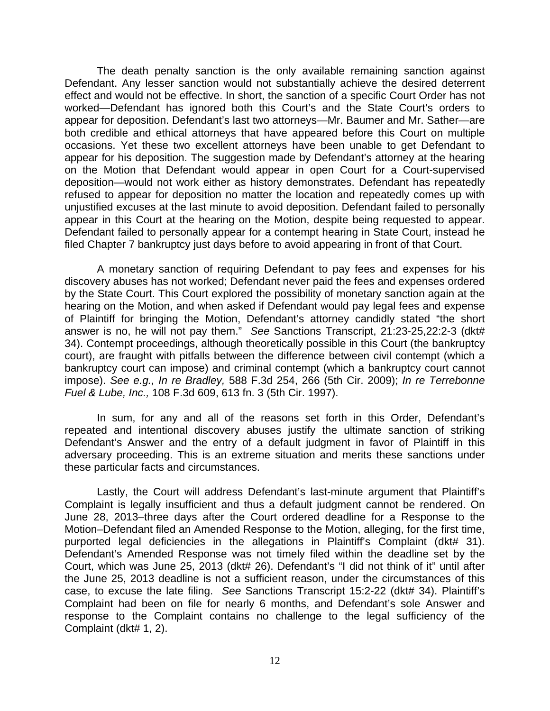The death penalty sanction is the only available remaining sanction against Defendant. Any lesser sanction would not substantially achieve the desired deterrent effect and would not be effective. In short, the sanction of a specific Court Order has not worked—Defendant has ignored both this Court's and the State Court's orders to appear for deposition. Defendant's last two attorneys—Mr. Baumer and Mr. Sather—are both credible and ethical attorneys that have appeared before this Court on multiple occasions. Yet these two excellent attorneys have been unable to get Defendant to appear for his deposition. The suggestion made by Defendant's attorney at the hearing on the Motion that Defendant would appear in open Court for a Court-supervised deposition—would not work either as history demonstrates. Defendant has repeatedly refused to appear for deposition no matter the location and repeatedly comes up with unjustified excuses at the last minute to avoid deposition. Defendant failed to personally appear in this Court at the hearing on the Motion, despite being requested to appear. Defendant failed to personally appear for a contempt hearing in State Court, instead he filed Chapter 7 bankruptcy just days before to avoid appearing in front of that Court.

A monetary sanction of requiring Defendant to pay fees and expenses for his discovery abuses has not worked; Defendant never paid the fees and expenses ordered by the State Court. This Court explored the possibility of monetary sanction again at the hearing on the Motion, and when asked if Defendant would pay legal fees and expense of Plaintiff for bringing the Motion, Defendant's attorney candidly stated "the short answer is no, he will not pay them." *See* Sanctions Transcript, 21:23-25,22:2-3 (dkt# 34). Contempt proceedings, although theoretically possible in this Court (the bankruptcy court), are fraught with pitfalls between the difference between civil contempt (which a bankruptcy court can impose) and criminal contempt (which a bankruptcy court cannot impose). *See e.g., In re Bradley,* 588 F.3d 254, 266 (5th Cir. 2009); *In re Terrebonne Fuel & Lube, Inc.,* 108 F.3d 609, 613 fn. 3 (5th Cir. 1997).

In sum, for any and all of the reasons set forth in this Order, Defendant's repeated and intentional discovery abuses justify the ultimate sanction of striking Defendant's Answer and the entry of a default judgment in favor of Plaintiff in this adversary proceeding. This is an extreme situation and merits these sanctions under these particular facts and circumstances.

Lastly, the Court will address Defendant's last-minute argument that Plaintiff's Complaint is legally insufficient and thus a default judgment cannot be rendered. On June 28, 2013–three days after the Court ordered deadline for a Response to the Motion–Defendant filed an Amended Response to the Motion, alleging, for the first time, purported legal deficiencies in the allegations in Plaintiff's Complaint (dkt# 31). Defendant's Amended Response was not timely filed within the deadline set by the Court, which was June 25, 2013 (dkt# 26). Defendant's "I did not think of it" until after the June 25, 2013 deadline is not a sufficient reason, under the circumstances of this case, to excuse the late filing. *See* Sanctions Transcript 15:2-22 (dkt# 34). Plaintiff's Complaint had been on file for nearly 6 months, and Defendant's sole Answer and response to the Complaint contains no challenge to the legal sufficiency of the Complaint (dkt# 1, 2).